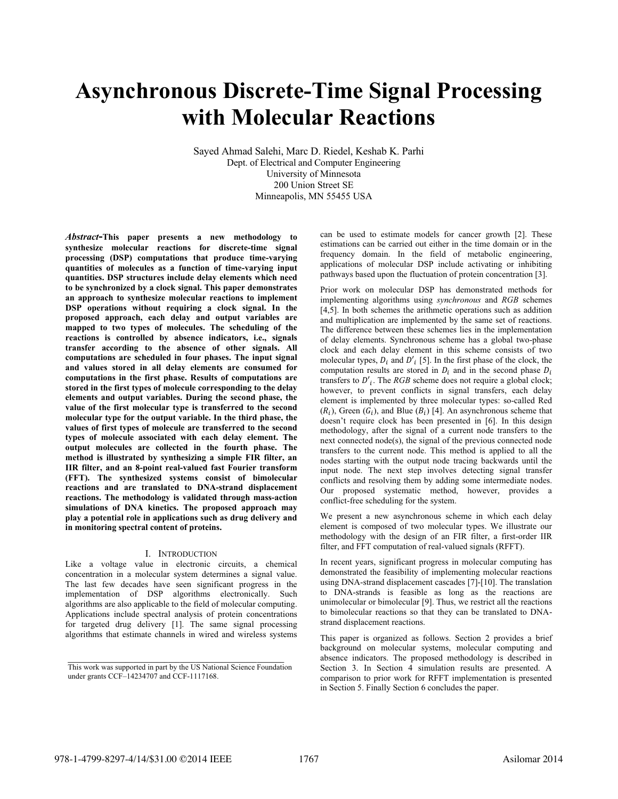# **Asynchronous DiscreteTime Signal Processing with Molecular Reactions**

Sayed Ahmad Salehi, Marc D. Riedel, Keshab K. Parhi Dept. of Electrical and Computer Engineering University of Minnesota 200 Union Street SE Minneapolis, MN 55455 USA

*Abstract***This paper presents a new methodology to synthesize molecular reactions for discretetime signal processing (DSP) computations that produce timevarying quantities of molecules as a function of timevarying input quantities. DSP structures include delay elements which need to be synchronized by a clock signal. This paper demonstrates an approach to synthesize molecular reactions to implement DSP operations without requiring a clock signal. In the proposed approach, each delay and output variables are mapped to two types of molecules. The scheduling of the reactions is controlled by absence indicators, i.e., signals transfer according to the absence of other signals. All computations are scheduled in four phases. The input signal and values stored in all delay elements are consumed for computations in the first phase. Results of computations are stored in the first types of molecule corresponding to the delay elements and output variables. During the second phase, the value of the first molecular type is transferred to the second molecular type for the output variable. In the third phase, the values of first types of molecule are transferred to the second types of molecule associated with each delay element. The output molecules are collected in the fourth phase. The method is illustrated by synthesizing a simple FIR filter, an IIR filter, and an 8point realvalued fast Fourier transform (FFT). The synthesized systems consist of bimolecular reactions and are translated to DNAstrand displacement reactions. The methodology is validated through massaction simulations of DNA kinetics. The proposed approach may play a potential role in applications such as drug delivery and in monitoring spectral content of proteins.**

### I. INTRODUCTION

Like a voltage value in electronic circuits, a chemical concentration in a molecular system determines a signal value. The last few decades have seen significant progress in the implementation of DSP algorithms electronically. Such algorithms are also applicable to the field of molecular computing. Applications include spectral analysis of protein concentrations for targeted drug delivery [1]. The same signal processing algorithms that estimate channels in wired and wireless systems

can be used to estimate models for cancer growth [2]. These estimations can be carried out either in the time domain or in the frequency domain. In the field of metabolic engineering, applications of molecular DSP include activating or inhibiting pathways based upon the fluctuation of protein concentration [3].

Prior work on molecular DSP has demonstrated methods for implementing algorithms using *synchronous* and *RGB* schemes  $[4,5]$ . In both schemes the arithmetic operations such as addition and multiplication are implemented by the same set of reactions. The difference between these schemes lies in the implementation of delay elements. Synchronous scheme has a global two-phase clock and each delay element in this scheme consists of two molecular types,  $D_i$  and  $D'_i$  [5]. In the first phase of the clock, the computation results are stored in  $D_i$  and in the second phase  $D_i$ transfers to  $D'$ <sub>j</sub>. The *RGB* scheme does not require a global clock; however, to prevent conflicts in signal transfers, each delay element is implemented by three molecular types: so-called Red  $(R_i)$ , Green  $(G_i)$ , and Blue  $(B_i)$  [4]. An asynchronous scheme that doesn't require clock has been presented in [6]. In this design methodology, after the signal of a current node transfers to the next connected node(s), the signal of the previous connected node transfers to the current node. This method is applied to all the nodes starting with the output node tracing backwards until the input node. The next step involves detecting signal transfer conflicts and resolving them by adding some intermediate nodes. Our proposed systematic method, however, provides a conflict-free scheduling for the system.

We present a new asynchronous scheme in which each delay element is composed of two molecular types. We illustrate our methodology with the design of an FIR filter, a first-order IIR filter, and FFT computation of real-valued signals (RFFT).

In recent years, significant progress in molecular computing has demonstrated the feasibility of implementing molecular reactions using DNA-strand displacement cascades [7]-[10]. The translation to DNA-strands is feasible as long as the reactions are unimolecular or bimolecular [9]. Thus, we restrict all the reactions to bimolecular reactions so that they can be translated to DNAstrand displacement reactions.

This paper is organized as follows. Section 2 provides a brief background on molecular systems, molecular computing and absence indicators. The proposed methodology is described in Section 3. In Section 4 simulation results are presented. A comparison to prior work for RFFT implementation is presented in Section 5. Finally Section 6 concludes the paper.

**\_\_\_\_\_\_\_\_\_\_\_\_\_\_\_\_\_\_\_\_\_\_\_\_\_\_\_\_\_\_\_\_\_\_\_\_\_\_\_\_\_\_\_\_\_\_\_\_\_\_\_\_\_\_\_\_** This work was supported in part by the US National Science Foundation under grants  $CCF-14234707$  and  $CCF-1117168$ .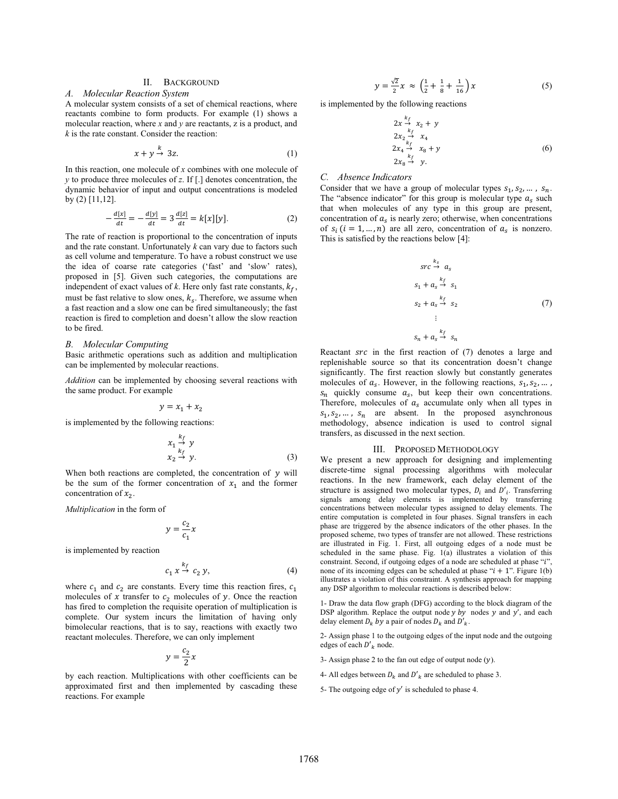# II. BACKGROUND

# A. Molecular Reaction System

A molecular system consists of a set of chemical reactions, where reactants combine to form products. For example (1) shows a molecular reaction, where  $x$  and  $y$  are reactants,  $z$  is a product, and  $k$  is the rate constant. Consider the reaction:

$$
x + y \stackrel{\sim}{\rightarrow} 3z. \tag{1}
$$

In this reaction, one molecule of  $x$  combines with one molecule of  $y$  to produce three molecules of  $z$ . If [.] denotes concentration, the dynamic behavior of input and output concentrations is modeled by  $(2)$  [11,12].

$$
-\frac{d[x]}{dt} = -\frac{d[y]}{dt} = 3\frac{d[z]}{dt} = k[x][y].
$$
 (2)

The rate of reaction is proportional to the concentration of inputs and the rate constant. Unfortunately  $k$  can vary due to factors such as cell volume and temperature. To have a robust construct we use the idea of coarse rate categories ('fast' and 'slow' rates), proposed in [5]. Given such categories, the computations are independent of exact values of  $k$ . Here only fast rate constants,  $k_f$ , must be fast relative to slow ones,  $k_s$ . Therefore, we assume when a fast reaction and a slow one can be fired simultaneously; the fast reaction is fired to completion and doesn't allow the slow reaction to be fired.

#### **B.** Molecular Computing

Basic arithmetic operations such as addition and multiplication can be implemented by molecular reactions.

Addition can be implemented by choosing several reactions with the same product. For example

$$
y = x_1 + x_2
$$

is implemented by the following reactions:

$$
\begin{array}{c}\n x_1 \xrightarrow{k_f} y \\
x_2 \xrightarrow{k_f} y.\n \end{array} \n \tag{3}
$$

When both reactions are completed, the concentration of  $y$  will be the sum of the former concentration of  $x_1$  and the former concentration of  $x_2$ .

Multiplication in the form of

$$
y = \frac{c_2}{c_1}y
$$

is implemented by reaction

$$
c_1 x \xrightarrow{k_f} c_2 y,\tag{4}
$$

where  $c_1$  and  $c_2$  are constants. Every time this reaction fires,  $c_1$ molecules of x transfer to  $c_2$  molecules of y. Once the reaction has fired to completion the requisite operation of multiplication is complete. Our system incurs the limitation of having only bimolecular reactions, that is to say, reactions with exactly two reactant molecules. Therefore, we can only implement

$$
y = \frac{c_2}{2}x
$$

by each reaction. Multiplications with other coefficients can be approximated first and then implemented by cascading these reactions. For example

$$
y = \frac{\sqrt{2}}{2}x \approx \left(\frac{1}{2} + \frac{1}{8} + \frac{1}{16}\right)x
$$
 (5)

is implemented by the following reactions

$$
2x \xrightarrow{k_f} x_2 + y
$$
  
\n
$$
2x_2 \xrightarrow{k_f} x_4
$$
  
\n
$$
2x_4 \xrightarrow{k_f} x_8 + y
$$
  
\n
$$
2x_8 \xrightarrow{f} y.
$$
  
\n(6)

#### C. Absence Indicators

Consider that we have a group of molecular types  $s_1, s_2, \ldots, s_n$ . The "absence indicator" for this group is molecular type  $a_s$  such that when molecules of any type in this group are present, concentration of  $a_s$  is nearly zero; otherwise, when concentrations of  $s_i$  ( $i = 1, ..., n$ ) are all zero, concentration of  $a_s$  is nonzero. This is satisfied by the reactions below [4]:

$$
src \xrightarrow{k_3} a_s
$$
  
\n
$$
s_1 + a_s \xrightarrow{k_f} s_1
$$
  
\n
$$
s_2 + a_s \xrightarrow{k_f} s_2
$$
  
\n
$$
\vdots
$$
  
\n
$$
s_n + a_s \xrightarrow{k_f} s_n
$$
  
\n(7)

Reactant *src* in the first reaction of (7) denotes a large and replenishable source so that its concentration doesn't change significantly. The first reaction slowly but constantly generates molecules of  $a_s$ . However, in the following reactions,  $s_1, s_2, ...$ ,  $s_n$  quickly consume  $a_s$ , but keep their own concentrations. Therefore, molecules of  $a_s$  accumulate only when all types in  $s_1, s_2, \ldots, s_n$  are absent. In the proposed asynchronous methodology, absence indication is used to control signal transfers, as discussed in the next section.

#### III. PROPOSED METHODOLOGY

We present a new approach for designing and implementing discrete-time signal processing algorithms with molecular reactions. In the new framework, each delay element of the structure is assigned two molecular types,  $D_i$  and  $D'_i$ . Transferring signals among delay elements is implemented by transferring concentrations between molecular types assigned to delay elements. The entire computation is completed in four phases. Signal transfers in each phase are triggered by the absence indicators of the other phases. In the proposed scheme, two types of transfer are not allowed. These restrictions are illustrated in Fig. 1. First, all outgoing edges of a node must be scheduled in the same phase. Fig. 1(a) illustrates a violation of this constraint. Second, if outgoing edges of a node are scheduled at phase "i", none of its incoming edges can be scheduled at phase " $i + 1$ ". Figure 1(b) illustrates a violation of this constraint. A synthesis approach for mapping any DSP algorithm to molecular reactions is described below:

1- Draw the data flow graph (DFG) according to the block diagram of the DSP algorithm. Replace the output node  $y$  by nodes  $y$  and  $y'$ , and each delay element  $D_k$  by a pair of nodes  $D_k$  and  $D'_k$ .

2- Assign phase 1 to the outgoing edges of the input node and the outgoing edges of each  $D'_{k}$  node.

3- Assign phase 2 to the fan out edge of output node  $(y)$ .

4- All edges between  $D_k$  and  $D'_k$  are scheduled to phase 3.

5- The outgoing edge of  $y'$  is scheduled to phase 4.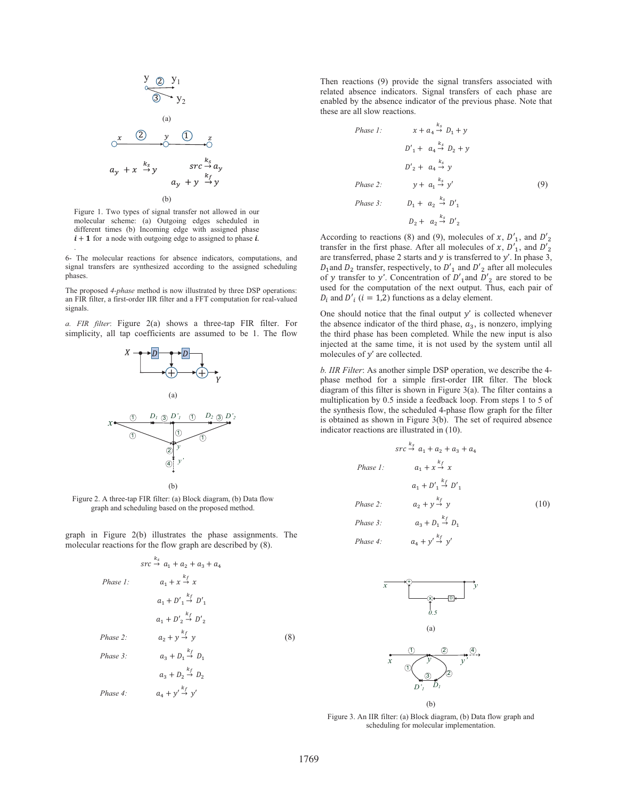$$
y \underset{\infty}{\underbrace{\bigcirc y_1}} y_1
$$
\n(a)\n
$$
\underbrace{\bigcirc x \quad (2)}_{x_y} y_2
$$
\n(b)\n
$$
y_2
$$
\n
$$
y_1
$$
\n
$$
y_2
$$
\n
$$
y_1
$$
\n
$$
y_2
$$
\n
$$
y_2
$$
\n
$$
y_1
$$
\n
$$
y_2
$$
\n
$$
y_1
$$
\n
$$
y_2
$$
\n
$$
y_2
$$
\n
$$
y_1
$$
\n
$$
y_2
$$
\n
$$
y_1
$$
\n
$$
y_2
$$
\n
$$
y_1
$$
\n
$$
y_2
$$
\n
$$
y_2
$$
\n
$$
y_1
$$
\n
$$
y_2
$$
\n
$$
y_1
$$
\n
$$
y_2
$$
\n
$$
y_2
$$
\n
$$
y_1
$$
\n
$$
y_2
$$
\n
$$
y_2
$$
\n
$$
y_1
$$
\n
$$
y_2
$$
\n
$$
y_2
$$
\n
$$
y_1
$$
\n
$$
y_2
$$
\n
$$
y_2
$$
\n
$$
y_1
$$
\n
$$
y_2
$$
\n
$$
y_2
$$
\n
$$
y_1
$$
\n
$$
y_2
$$
\n
$$
y_2
$$
\n
$$
y_1
$$
\n
$$
y_2
$$
\n
$$
y_2
$$
\n
$$
y_2
$$
\n
$$
y_1
$$
\n
$$
y_2
$$
\n
$$
y_2
$$
\n
$$
y_2
$$
\n
$$
y_1
$$
\n
$$
y_2
$$
\n
$$
y_2
$$
\n
$$
y_2
$$
\n
$$
y_2
$$
\n
$$
y_1
$$
\n
$$
y_2
$$
\n
$$
y_2
$$

Figure 1. Two types of signal transfer not allowed in our molecular scheme: (a) Outgoing edges scheduled in different times (b) Incoming edge with assigned phase  $i + 1$  for a node with outgoing edge to assigned to phase  $i$ .

6- The molecular reactions for absence indicators, computations, and signal transfers are synthesized according to the assigned scheduling phases.

The proposed 4-phase method is now illustrated by three DSP operations: an FIR filter, a first-order IIR filter and a FFT computation for real-valued signals.

a. FIR filter: Figure 2(a) shows a three-tap FIR filter. For simplicity, all tap coefficients are assumed to be 1. The flow



Figure 2. A three-tap FIR filter: (a) Block diagram, (b) Data flow graph and scheduling based on the proposed method.

graph in Figure 2(b) illustrates the phase assignments. The molecular reactions for the flow graph are described by (8).

$$
src \xrightarrow{k_5} a_1 + a_2 + a_3 + a_4
$$
  
\n
$$
Phase 1: \t a_1 + x \xrightarrow{k_f} x
$$
  
\n
$$
a_1 + D'_1 \xrightarrow{k_f} D'_1
$$
  
\n
$$
a_1 + D'_2 \xrightarrow{k_f} D'_2
$$
  
\n
$$
Phase 2: \t a_2 + y \xrightarrow{k_f} y
$$
  
\n
$$
Phase 3: \t a_3 + D_1 \xrightarrow{k_f} D_1
$$
  
\n
$$
a_3 + D_2 \xrightarrow{k_f} D_2
$$
  
\n
$$
Phase 4: \t a_4 + y' \xrightarrow{k_f} y'
$$

Then reactions (9) provide the signal transfers associated with related absence indicators. Signal transfers of each phase are enabled by the absence indicator of the previous phase. Note that these are all slow reactions.

Phase 1: 
$$
x + a_4 \xrightarrow{k_s} D_1 + y
$$
  
\n $D'_1 + a_4 \xrightarrow{k_s} D_2 + y$   
\n $D'_2 + a_4 \xrightarrow{k_s} y$   
\nPhase 2:  $y + a_1 \xrightarrow{k_s} y'$  (9)  
\nPhase 3:  $D_1 + a_2 \xrightarrow{k_s} D'_1$   
\n $D_2 + a_2 \xrightarrow{k_s} D'_2$ 

According to reactions (8) and (9), molecules of x,  $D'_1$ , and  $D'_2$ transfer in the first phase. After all molecules of x,  $D'_1$ , and  $D'_2$ are transferred, phase 2 starts and  $y$  is transferred to  $y'$ . In phase 3,  $D_1$  and  $D_2$  transfer, respectively, to  $D'_1$  and  $D'_2$  after all molecules of y transfer to y'. Concentration of  $D'_{1}$  and  $D'_{2}$  are stored to be used for the computation of the next output. Thus, each pair of  $D_i$  and  $D'_i$  ( $i = 1,2$ ) functions as a delay element.

One should notice that the final output  $y'$  is collected whenever the absence indicator of the third phase,  $a_3$ , is nonzero, implying the third phase has been completed. While the new input is also injected at the same time, it is not used by the system until all molecules of  $y'$  are collected.

b. IIR Filter: As another simple DSP operation, we describe the 4phase method for a simple first-order IIR filter. The block diagram of this filter is shown in Figure  $3(a)$ . The filter contains a multiplication by 0.5 inside a feedback loop. From steps 1 to 5 of the synthesis flow, the scheduled 4-phase flow graph for the filter is obtained as shown in Figure 3(b). The set of required absence indicator reactions are illustrated in (10).

$$
src \xrightarrow{k} a_1 + a_2 + a_3 + a_4
$$
  
\n
$$
Phase 1: \t a_1 + x \xrightarrow{k} x
$$
  
\n
$$
a_1 + D' \xrightarrow{k} D' \xrightarrow{k}
$$
  
\n
$$
Phase 2: \t a_2 + y \xrightarrow{k} y
$$
  
\n
$$
Phase 3: \t a_3 + D_1 \xrightarrow{k} D_1
$$
  
\n
$$
Phase 4: \t a_1 + y' \xrightarrow{k} y'
$$
 (10)



Figure 3. An IIR filter: (a) Block diagram, (b) Data flow graph and scheduling for molecular implementation.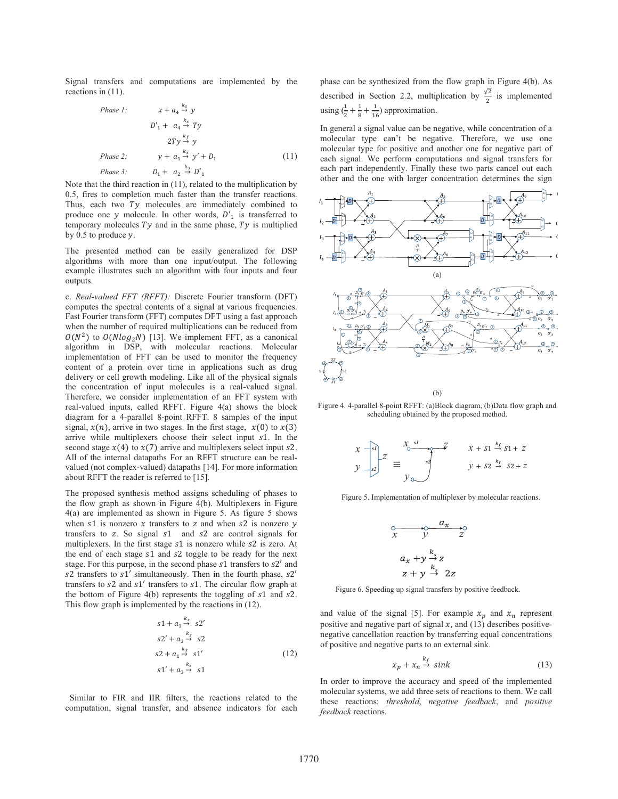Signal transfers and computations are implemented by the reactions in  $(11)$ .

Phase 1:

\n
$$
x + a_4 \xrightarrow{k_S} y
$$
\n
$$
D'_1 + a_4 \xrightarrow{k_S} Ty
$$
\n
$$
2Ty \xrightarrow{k_f} y
$$
\nPhase 2:

\n
$$
y + a_1 \xrightarrow{k_S} y' + D_1
$$
\n
$$
Phase 3:
$$
\n
$$
D_1 + a_2 \xrightarrow{k_S} D'_1
$$
\n
$$
(11)
$$

Note that the third reaction in  $(11)$ , related to the multiplication by 0.5, fires to completion much faster than the transfer reactions. Thus, each two Ty molecules are immediately combined to produce one y molecule. In other words,  $D'_1$  is transferred to temporary molecules  $Ty$  and in the same phase,  $Ty$  is multiplied by 0.5 to produce  $\nu$ .

The presented method can be easily generalized for DSP algorithms with more than one input/output. The following example illustrates such an algorithm with four inputs and four outputs.

c. Real-valued FFT (RFFT): Discrete Fourier transform (DFT) computes the spectral contents of a signal at various frequencies. Fast Fourier transform (FFT) computes DFT using a fast approach when the number of required multiplications can be reduced from  $O(N^2)$  to  $O(Nlog_2N)$  [13]. We implement FFT, as a canonical algorithm in DSP, with molecular reactions. Molecular implementation of FFT can be used to monitor the frequency content of a protein over time in applications such as drug delivery or cell growth modeling. Like all of the physical signals the concentration of input molecules is a real-valued signal. Therefore, we consider implementation of an FFT system with real-valued inputs, called RFFT. Figure 4(a) shows the block diagram for a 4-parallel 8-point RFFT. 8 samples of the input signal,  $x(n)$ , arrive in two stages. In the first stage,  $x(0)$  to  $x(3)$ arrive while multiplexers choose their select input s1. In the second stage  $x(4)$  to  $x(7)$  arrive and multiplexers select input s2. All of the internal datapaths For an RFFT structure can be realvalued (not complex-valued) datapaths [14]. For more information about RFFT the reader is referred to [15].

The proposed synthesis method assigns scheduling of phases to the flow graph as shown in Figure 4(b). Multiplexers in Figure  $4(a)$  are implemented as shown in Figure 5. As figure 5 shows when  $s1$  is nonzero x transfers to z and when  $s2$  is nonzero y transfers to z. So signal s1 and s2 are control signals for multiplexers. In the first stage s1 is nonzero while s2 is zero. At the end of each stage s1 and s2 toggle to be ready for the next stage. For this purpose, in the second phase s1 transfers to s2' and s2 transfers to s1' simultaneously. Then in the fourth phase, s2' transfers to s2 and s1' transfers to s1. The circular flow graph at the bottom of Figure 4(b) represents the toggling of s1 and s2. This flow graph is implemented by the reactions in (12).

$$
s1 + a_1 \xrightarrow{k_5} s2'
$$
  
\n
$$
s2' + a_3 \xrightarrow{k_5} s2
$$
  
\n
$$
s2 + a_1 \xrightarrow{k_5} s1'
$$
  
\n
$$
s1' + a_3 \xrightarrow{k_5} s1
$$
  
\n(12)

Similar to FIR and IIR filters, the reactions related to the computation, signal transfer, and absence indicators for each

phase can be synthesized from the flow graph in Figure 4(b). As described in Section 2.2, multiplication by  $\frac{\sqrt{2}}{2}$  is implemented using  $(\frac{1}{2} + \frac{1}{8} + \frac{1}{16})$  approximation.

In general a signal value can be negative, while concentration of a molecular type can't be negative. Therefore, we use one molecular type for positive and another one for negative part of each signal. We perform computations and signal transfers for each part independently. Finally these two parts cancel out each other and the one with larger concentration determines the sign



Figure 4. 4-parallel 8-point RFFT: (a)Block diagram, (b)Data flow graph and scheduling obtained by the proposed method.

$$
\begin{aligned}\n x \xrightarrow[s]{\text{si}} z \\
y \xrightarrow[s]{\text{si}} z \xrightarrow[s]{\text{si}} z\n \end{aligned}
$$
\n
$$
\begin{aligned}\n x + s_1 \xrightarrow{k_f} s_1 + z \\
y + s_2 \xrightarrow[k]{\text{si}} s_2 + z\n \end{aligned}
$$

Figure 5. Implementation of multiplexer by molecular reactions.

$$
x \quad y \quad z
$$
  
\n
$$
a_x + y \stackrel{k_s}{\rightarrow} z
$$
  
\n
$$
z + y \stackrel{k_s}{\rightarrow} 2z
$$

Figure 6. Speeding up signal transfers by positive feedback.

and value of the signal [5]. For example  $x_p$  and  $x_n$  represent positive and negative part of signal  $x$ , and (13) describes positivenegative cancellation reaction by transferring equal concentrations of positive and negative parts to an external sink.

$$
x_p + x_n \stackrel{\kappa_f}{\rightarrow} sink \tag{13}
$$

In order to improve the accuracy and speed of the implemented molecular systems, we add three sets of reactions to them. We call these reactions: threshold, negative feedback, and positive feedback reactions.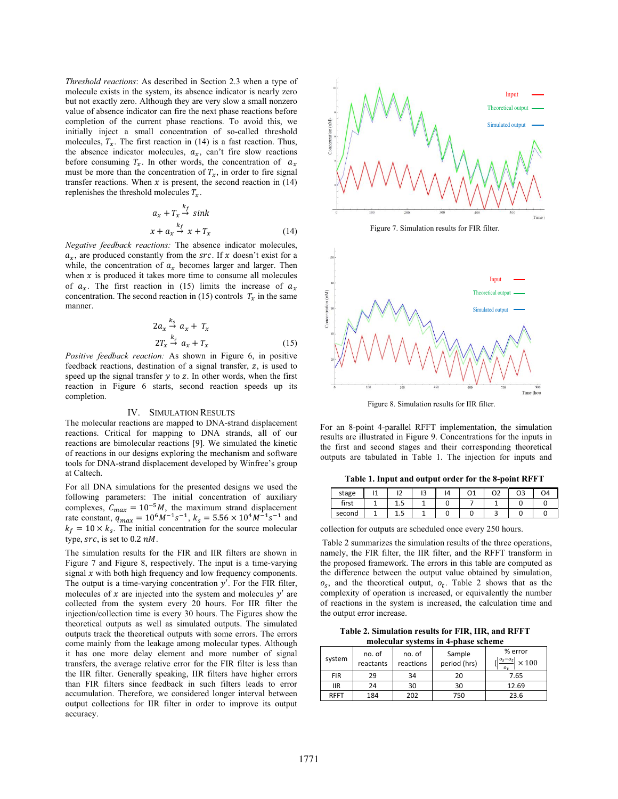Threshold reactions: As described in Section 2.3 when a type of molecule exists in the system, its absence indicator is nearly zero but not exactly zero. Although they are very slow a small nonzero value of absence indicator can fire the next phase reactions before completion of the current phase reactions. To avoid this, we initially inject a small concentration of so-called threshold molecules,  $T_x$ . The first reaction in (14) is a fast reaction. Thus, the absence indicator molecules,  $a_x$ , can't fire slow reactions before consuming  $T_x$ . In other words, the concentration of  $a_x$ must be more than the concentration of  $T_x$ , in order to fire signal transfer reactions. When  $x$  is present, the second reaction in (14) replenishes the threshold molecules  $T_x$ .

$$
a_x + T_x \stackrel{k_f}{\rightarrow} sink
$$
  

$$
x + a_x \stackrel{k_f}{\rightarrow} x + T_x
$$
 (14)

Negative feedback reactions: The absence indicator molecules,  $a_x$ , are produced constantly from the src. If x doesn't exist for a while, the concentration of  $a_x$  becomes larger and larger. Then when  $x$  is produced it takes more time to consume all molecules of  $a_x$ . The first reaction in (15) limits the increase of  $a_x$ concentration. The second reaction in (15) controls  $T_x$  in the same manner.

$$
2a_x \stackrel{k_s}{\rightarrow} a_x + T_x
$$
  
\n
$$
2T_x \stackrel{k_s}{\rightarrow} a_x + T_x
$$
 (15)

Positive feedback reaction: As shown in Figure 6, in positive feedback reactions, destination of a signal transfer, z, is used to speed up the signal transfer  $y$  to  $z$ . In other words, when the first reaction in Figure 6 starts, second reaction speeds up its completion.

# **IV. SIMULATION RESULTS**

The molecular reactions are mapped to DNA-strand displacement reactions. Critical for mapping to DNA strands, all of our reactions are bimolecular reactions [9]. We simulated the kinetic of reactions in our designs exploring the mechanism and software tools for DNA-strand displacement developed by Winfree's group at Caltech.

For all DNA simulations for the presented designs we used the following parameters: The initial concentration of auxiliary complexes,  $C_{max} = 10^{-5}M$ , the maximum strand displacement rate constant,  $q_{max} = 10^6 M^{-1} s^{-1}$ ,  $k_s = 5.56 \times 10^4 M^{-1} s^{-1}$  and  $k_f = 10 \times k_s$ . The initial concentration for the source molecular type,  $src$ , is set to 0.2 nM.

The simulation results for the FIR and IIR filters are shown in Figure 7 and Figure 8, respectively. The input is a time-varying signal  $x$  with both high frequency and low frequency components. The output is a time-varying concentration  $y'$ . For the FIR filter, molecules of  $x$  are injected into the system and molecules  $y'$  are collected from the system every 20 hours. For IIR filter the injection/collection time is every 30 hours. The Figures show the theoretical outputs as well as simulated outputs. The simulated outputs track the theoretical outputs with some errors. The errors come mainly from the leakage among molecular types. Although it has one more delay element and more number of signal transfers, the average relative error for the FIR filter is less than the IIR filter. Generally speaking, IIR filters have higher errors than FIR filters since feedback in such filters leads to error accumulation. Therefore, we considered longer interval between output collections for IIR filter in order to improve its output accuracy.





Figure 8. Simulation results for IIR filter.

For an 8-point 4-parallel RFFT implementation, the simulation results are illustrated in Figure 9. Concentrations for the inputs in the first and second stages and their corresponding theoretical outputs are tabulated in Table 1. The injection for inputs and

Table 1. Input and output order for the 8-point RFFT

| stage  | . . | $\sim$<br> | ı | n1 | റാ | O4 |
|--------|-----|------------|---|----|----|----|
| first  | ⊥.  |            |   |    |    |    |
| second | ⊥.J |            |   |    |    |    |

collection for outputs are scheduled once every 250 hours.

Table 2 summarizes the simulation results of the three operations, namely, the FIR filter, the IIR filter, and the RFFT transform in the proposed framework. The errors in this table are computed as the difference between the output value obtained by simulation,  $o_s$ , and the theoretical output,  $o_t$ . Table 2 shows that as the complexity of operation is increased, or equivalently the number of reactions in the system is increased, the calculation time and the output error increase.

Table 2. Simulation results for FIR, IIR, and RFFT molecular systems in 4-phase scheme

| system      | no. of<br>reactants | no. of<br>reactions | Sample<br>period (hrs) | % error<br>$\frac{ o_s - o_t }{\times 100} \times 100$ |
|-------------|---------------------|---------------------|------------------------|--------------------------------------------------------|
| <b>FIR</b>  | 29                  | 34                  | 20                     | 7.65                                                   |
| <b>IIR</b>  | 24                  | 30                  | 30                     | 12.69                                                  |
| <b>RFFT</b> | 184                 | 202                 | 750                    | 23.6                                                   |